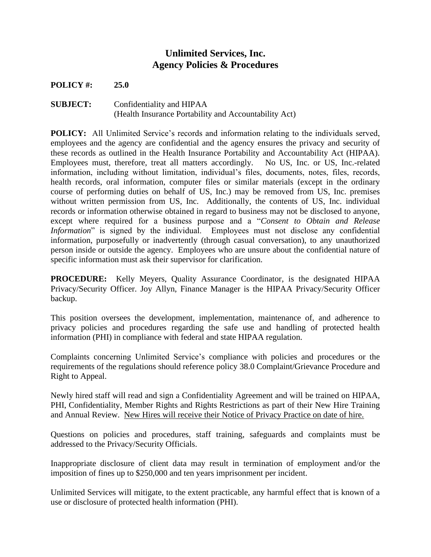## **Unlimited Services, Inc. Agency Policies & Procedures**

**POLICY #: 25.0**

**SUBJECT:** Confidentiality and HIPAA (Health Insurance Portability and Accountability Act)

**POLICY:** All Unlimited Service's records and information relating to the individuals served, employees and the agency are confidential and the agency ensures the privacy and security of these records as outlined in the Health Insurance Portability and Accountability Act (HIPAA). Employees must, therefore, treat all matters accordingly. No US, Inc. or US, Inc.-related information, including without limitation, individual's files, documents, notes, files, records, health records, oral information, computer files or similar materials (except in the ordinary course of performing duties on behalf of US, Inc.) may be removed from US, Inc. premises without written permission from US, Inc. Additionally, the contents of US, Inc. individual records or information otherwise obtained in regard to business may not be disclosed to anyone, except where required for a business purpose and a "*Consent to Obtain and Release Information*" is signed by the individual. Employees must not disclose any confidential information, purposefully or inadvertently (through casual conversation), to any unauthorized person inside or outside the agency. Employees who are unsure about the confidential nature of specific information must ask their supervisor for clarification.

**PROCEDURE:** Kelly Meyers, Quality Assurance Coordinator, is the designated HIPAA Privacy/Security Officer. Joy Allyn, Finance Manager is the HIPAA Privacy/Security Officer backup.

This position oversees the development, implementation, maintenance of, and adherence to privacy policies and procedures regarding the safe use and handling of protected health information (PHI) in compliance with federal and state HIPAA regulation.

Complaints concerning Unlimited Service's compliance with policies and procedures or the requirements of the regulations should reference policy 38.0 Complaint/Grievance Procedure and Right to Appeal.

Newly hired staff will read and sign a Confidentiality Agreement and will be trained on HIPAA, PHI, Confidentiality, Member Rights and Rights Restrictions as part of their New Hire Training and Annual Review. New Hires will receive their Notice of Privacy Practice on date of hire.

Questions on policies and procedures, staff training, safeguards and complaints must be addressed to the Privacy/Security Officials.

Inappropriate disclosure of client data may result in termination of employment and/or the imposition of fines up to \$250,000 and ten years imprisonment per incident.

Unlimited Services will mitigate, to the extent practicable, any harmful effect that is known of a use or disclosure of protected health information (PHI).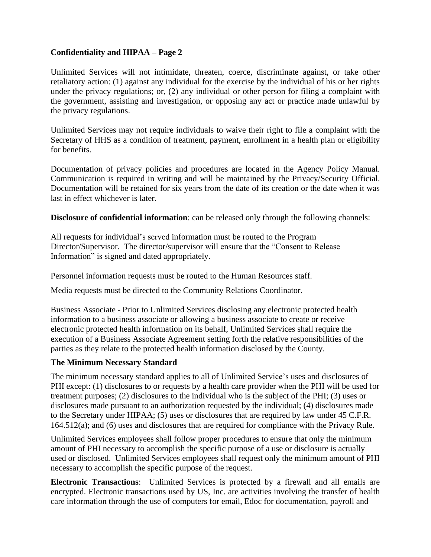## **Confidentiality and HIPAA – Page 2**

Unlimited Services will not intimidate, threaten, coerce, discriminate against, or take other retaliatory action: (1) against any individual for the exercise by the individual of his or her rights under the privacy regulations; or, (2) any individual or other person for filing a complaint with the government, assisting and investigation, or opposing any act or practice made unlawful by the privacy regulations.

Unlimited Services may not require individuals to waive their right to file a complaint with the Secretary of HHS as a condition of treatment, payment, enrollment in a health plan or eligibility for benefits.

Documentation of privacy policies and procedures are located in the Agency Policy Manual. Communication is required in writing and will be maintained by the Privacy/Security Official. Documentation will be retained for six years from the date of its creation or the date when it was last in effect whichever is later.

**Disclosure of confidential information**: can be released only through the following channels:

All requests for individual's served information must be routed to the Program Director/Supervisor. The director/supervisor will ensure that the "Consent to Release Information" is signed and dated appropriately.

Personnel information requests must be routed to the Human Resources staff.

Media requests must be directed to the Community Relations Coordinator.

Business Associate **-** Prior to Unlimited Services disclosing any electronic protected health information to a business associate or allowing a business associate to create or receive electronic protected health information on its behalf, Unlimited Services shall require the execution of a Business Associate Agreement setting forth the relative responsibilities of the parties as they relate to the protected health information disclosed by the County.

## **The Minimum Necessary Standard**

The minimum necessary standard applies to all of Unlimited Service's uses and disclosures of PHI except: (1) disclosures to or requests by a health care provider when the PHI will be used for treatment purposes; (2) disclosures to the individual who is the subject of the PHI; (3) uses or disclosures made pursuant to an authorization requested by the individual; (4) disclosures made to the Secretary under HIPAA; (5) uses or disclosures that are required by law under 45 C.F.R. 164.512(a); and (6) uses and disclosures that are required for compliance with the Privacy Rule.

Unlimited Services employees shall follow proper procedures to ensure that only the minimum amount of PHI necessary to accomplish the specific purpose of a use or disclosure is actually used or disclosed. Unlimited Services employees shall request only the minimum amount of PHI necessary to accomplish the specific purpose of the request.

**Electronic Transactions**: Unlimited Services is protected by a firewall and all emails are encrypted. Electronic transactions used by US, Inc. are activities involving the transfer of health care information through the use of computers for email, Edoc for documentation, payroll and